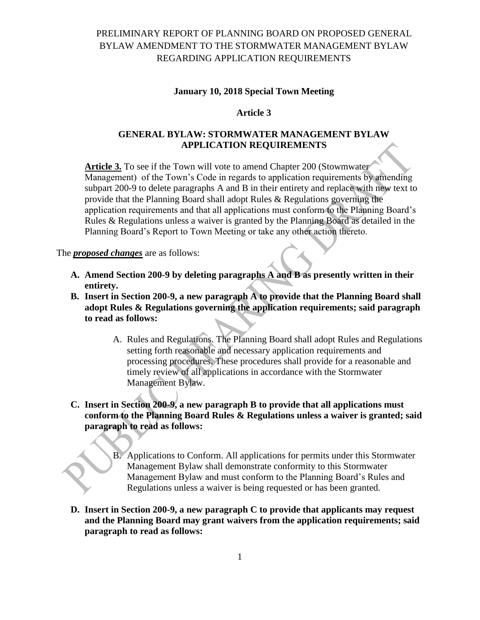# PRELIMINARY REPORT OF PLANNING BOARD ON PROPOSED GENERAL BYLAW AMENDMENT TO THE STORMWATER MANAGEMENT BYLAW REGARDING APPLICATION REQUIREMENTS

#### **January 10, 2018 Special Town Meeting**

### **Article 3**

## **GENERAL BYLAW: STORMWATER MANAGEMENT BYLAW APPLICATION REQUIREMENTS**

**Article 3.** To see if the Town will vote to amend Chapter 200 (Stowmwater Management) of the Town's Code in regards to application requirements by amending subpart 200-9 to delete paragraphs A and B in their entirety and replace with new text to provide that the Planning Board shall adopt Rules & Regulations governing the application requirements and that all applications must conform to the Planning Board's Rules & Regulations unless a waiver is granted by the Planning Board as detailed in the Planning Board's Report to Town Meeting or take any other action thereto.

#### The *proposed changes* are as follows:

- **A. Amend Section 200-9 by deleting paragraphs A and B as presently written in their entirety.**
- **B. Insert in Section 200-9, a new paragraph A to provide that the Planning Board shall adopt Rules & Regulations governing the application requirements; said paragraph to read as follows:**
	- A. Rules and Regulations. The Planning Board shall adopt Rules and Regulations setting forth reasonable and necessary application requirements and processing procedures. These procedures shall provide for a reasonable and timely review of all applications in accordance with the Stormwater Management Bylaw.
- **C. Insert in Section 200-9, a new paragraph B to provide that all applications must conform to the Planning Board Rules & Regulations unless a waiver is granted; said paragraph to read as follows:**
	- B. Applications to Conform. All applications for permits under this Stormwater Management Bylaw shall demonstrate conformity to this Stormwater Management Bylaw and must conform to the Planning Board's Rules and Regulations unless a waiver is being requested or has been granted.
- **D. Insert in Section 200-9, a new paragraph C to provide that applicants may request and the Planning Board may grant waivers from the application requirements; said paragraph to read as follows:**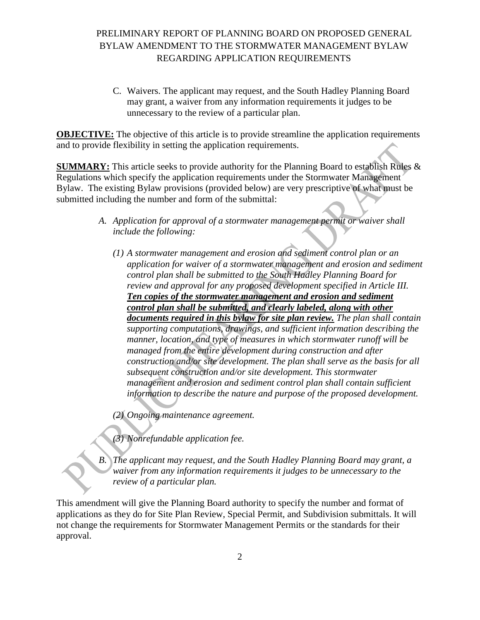# PRELIMINARY REPORT OF PLANNING BOARD ON PROPOSED GENERAL BYLAW AMENDMENT TO THE STORMWATER MANAGEMENT BYLAW REGARDING APPLICATION REQUIREMENTS

C. Waivers. The applicant may request, and the South Hadley Planning Board may grant, a waiver from any information requirements it judges to be unnecessary to the review of a particular plan.

**OBJECTIVE:** The objective of this article is to provide streamline the application requirements and to provide flexibility in setting the application requirements.

**SUMMARY:** This article seeks to provide authority for the Planning Board to establish Rules & Regulations which specify the application requirements under the Stormwater Management Bylaw. The existing Bylaw provisions (provided below) are very prescriptive of what must be submitted including the number and form of the submittal:

- *A. Application for approval of a stormwater management permit or waiver shall include the following:*
	- *(1) A stormwater management and erosion and sediment control plan or an application for waiver of a stormwater management and erosion and sediment control plan shall be submitted to the South Hadley Planning Board for review and approval for any proposed development specified in Article III. Ten copies of the stormwater management and erosion and sediment control plan shall be submitted, and clearly labeled, along with other documents required in this bylaw for site plan review. The plan shall contain supporting computations, drawings, and sufficient information describing the manner, location, and type of measures in which stormwater runoff will be managed from the entire development during construction and after construction and/or site development. The plan shall serve as the basis for all subsequent construction and/or site development. This stormwater*  management and erosion and sediment control plan shall contain sufficient *information to describe the nature and purpose of the proposed development.*

*(2) Ongoing maintenance agreement.*

*(3) Nonrefundable application fee.*

*B. The applicant may request, and the South Hadley Planning Board may grant, a waiver from any information requirements it judges to be unnecessary to the review of a particular plan.*

This amendment will give the Planning Board authority to specify the number and format of applications as they do for Site Plan Review, Special Permit, and Subdivision submittals. It will not change the requirements for Stormwater Management Permits or the standards for their approval.